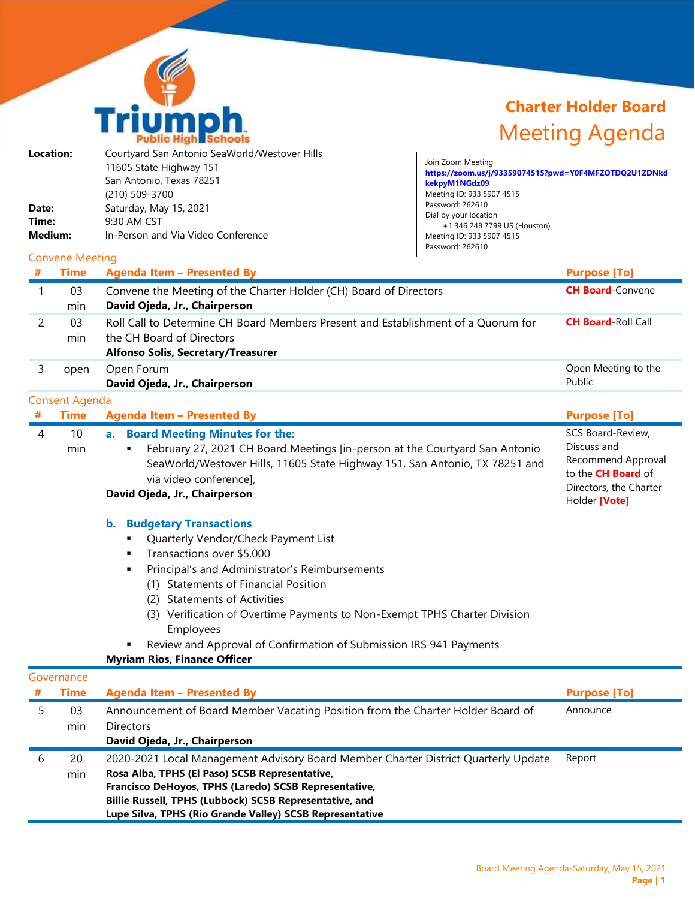

## **Charter Holder Board** Meeting Agenda

| Date:<br>Time:<br>Medium:<br># | Location:<br><b>Convene Meeting</b><br><b>Time</b> | Courtyard San Antonio SeaWorld/Westover Hills<br>11605 State Highway 151<br>San Antonio, Texas 78251<br>(210) 509-3700<br>Saturday, May 15, 2021<br>9:30 AM CST<br>In-Person and Via Video Conference<br><b>Agenda Item - Presented By</b> | Join Zoom Meeting<br>https://zoom.us/j/93359074515?pwd=Y0F4MFZOTDQ2U1ZDNkd<br>kekpyM1NGdz09<br>Meeting ID: 933 5907 4515<br>Password: 262610<br>Dial by your location<br>+1 346 248 7799 US (Houston)<br>Meeting ID: 933 5907 4515<br>Password: 262610<br><b>Purpose [To]</b> |
|--------------------------------|----------------------------------------------------|--------------------------------------------------------------------------------------------------------------------------------------------------------------------------------------------------------------------------------------------|-------------------------------------------------------------------------------------------------------------------------------------------------------------------------------------------------------------------------------------------------------------------------------|
|                                |                                                    |                                                                                                                                                                                                                                            |                                                                                                                                                                                                                                                                               |
|                                | 03                                                 | Convene the Meeting of the Charter Holder (CH) Board of Directors                                                                                                                                                                          | <b>CH Board-Convene</b>                                                                                                                                                                                                                                                       |

|            | min                   | David Ojeda, Jr., Chairperson                                                                                                                                                                                                                                                                                                                                                                                                                                     |                                                                                                                                |
|------------|-----------------------|-------------------------------------------------------------------------------------------------------------------------------------------------------------------------------------------------------------------------------------------------------------------------------------------------------------------------------------------------------------------------------------------------------------------------------------------------------------------|--------------------------------------------------------------------------------------------------------------------------------|
| 2          | 03<br>min             | Roll Call to Determine CH Board Members Present and Establishment of a Quorum for<br>the CH Board of Directors                                                                                                                                                                                                                                                                                                                                                    | <b>CH Board-Roll Call</b>                                                                                                      |
|            |                       | <b>Alfonso Solis, Secretary/Treasurer</b>                                                                                                                                                                                                                                                                                                                                                                                                                         |                                                                                                                                |
| 3          | open                  | Open Forum<br>David Ojeda, Jr., Chairperson                                                                                                                                                                                                                                                                                                                                                                                                                       | Open Meeting to the<br>Public                                                                                                  |
|            | <b>Consent Agenda</b> |                                                                                                                                                                                                                                                                                                                                                                                                                                                                   |                                                                                                                                |
|            | <b>Time</b>           | <b>Agenda Item - Presented By</b>                                                                                                                                                                                                                                                                                                                                                                                                                                 | <b>Purpose [To]</b>                                                                                                            |
| 4          | 10<br>min             | <b>Board Meeting Minutes for the:</b><br>a.<br>February 27, 2021 CH Board Meetings [in-person at the Courtyard San Antonio<br>SeaWorld/Westover Hills, 11605 State Highway 151, San Antonio, TX 78251 and<br>via video conference],<br>David Ojeda, Jr., Chairperson                                                                                                                                                                                              | SCS Board-Review,<br>Discuss and<br>Recommend Approval<br>to the <b>CH Board</b> of<br>Directors, the Charter<br>Holder [Vote] |
|            |                       | <b>Budgetary Transactions</b><br>$\mathbf{b}$ .<br>Quarterly Vendor/Check Payment List<br>Transactions over \$5,000<br>Principal's and Administrator's Reimbursements<br>(1) Statements of Financial Position<br><b>Statements of Activities</b><br>(2)<br>Verification of Overtime Payments to Non-Exempt TPHS Charter Division<br>(3)<br>Employees<br>Review and Approval of Confirmation of Submission IRS 941 Payments<br><b>Myriam Rios, Finance Officer</b> |                                                                                                                                |
| Governance |                       |                                                                                                                                                                                                                                                                                                                                                                                                                                                                   |                                                                                                                                |

|   | Governance  |                                                                                                                                                                                                                                                                                                                      |                     |
|---|-------------|----------------------------------------------------------------------------------------------------------------------------------------------------------------------------------------------------------------------------------------------------------------------------------------------------------------------|---------------------|
| # | <b>Time</b> | <b>Agenda Item - Presented By</b>                                                                                                                                                                                                                                                                                    | <b>Purpose [To]</b> |
|   | 03<br>min   | Announcement of Board Member Vacating Position from the Charter Holder Board of<br><b>Directors</b>                                                                                                                                                                                                                  | Announce            |
|   |             | David Ojeda, Jr., Chairperson                                                                                                                                                                                                                                                                                        |                     |
| b | 20<br>min   | 2020-2021 Local Management Advisory Board Member Charter District Quarterly Update<br>Rosa Alba, TPHS (El Paso) SCSB Representative,<br>Francisco DeHoyos, TPHS (Laredo) SCSB Representative,<br>Billie Russell, TPHS (Lubbock) SCSB Representative, and<br>Lupe Silva, TPHS (Rio Grande Valley) SCSB Representative | Report              |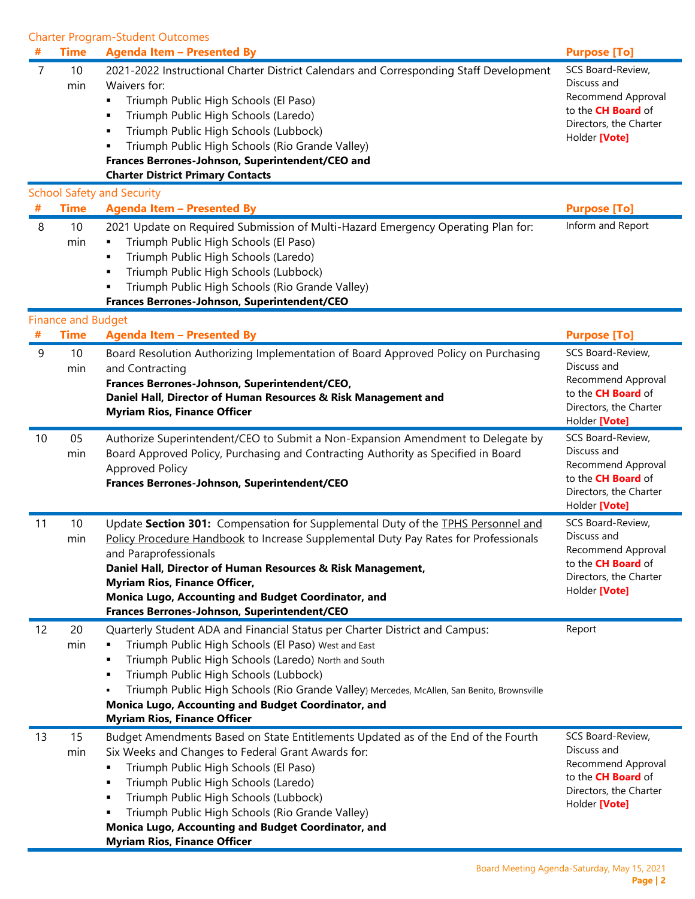Charter Program-Student Outcomes

|    | <b>Time</b>               | <b>Agenda Item - Presented By</b>                                                                                                                                                                                                                                                                                                                                                                                                              | <b>Purpose [To]</b>                                                                                                            |
|----|---------------------------|------------------------------------------------------------------------------------------------------------------------------------------------------------------------------------------------------------------------------------------------------------------------------------------------------------------------------------------------------------------------------------------------------------------------------------------------|--------------------------------------------------------------------------------------------------------------------------------|
| 7  | 10<br>min                 | 2021-2022 Instructional Charter District Calendars and Corresponding Staff Development<br>Waivers for:<br>Triumph Public High Schools (El Paso)<br>٠<br>Triumph Public High Schools (Laredo)<br>٠<br>Triumph Public High Schools (Lubbock)<br>٠<br>Triumph Public High Schools (Rio Grande Valley)<br>Frances Berrones-Johnson, Superintendent/CEO and<br><b>Charter District Primary Contacts</b><br><b>School Safety and Security</b>        | SCS Board-Review,<br>Discuss and<br>Recommend Approval<br>to the <b>CH Board</b> of<br>Directors, the Charter<br>Holder [Vote] |
|    | <b>Time</b>               | <b>Agenda Item - Presented By</b>                                                                                                                                                                                                                                                                                                                                                                                                              | <b>Purpose [To]</b>                                                                                                            |
| 8  | 10<br>min                 | 2021 Update on Required Submission of Multi-Hazard Emergency Operating Plan for:<br>Triumph Public High Schools (El Paso)<br>Triumph Public High Schools (Laredo)<br>٠<br>Triumph Public High Schools (Lubbock)<br>٠<br>Triumph Public High Schools (Rio Grande Valley)<br>٠<br>Frances Berrones-Johnson, Superintendent/CEO                                                                                                                   | Inform and Report                                                                                                              |
|    | <b>Finance and Budget</b> |                                                                                                                                                                                                                                                                                                                                                                                                                                                |                                                                                                                                |
| #  | <b>Time</b>               | <b>Agenda Item - Presented By</b>                                                                                                                                                                                                                                                                                                                                                                                                              | <b>Purpose [To]</b>                                                                                                            |
| 9  | 10<br>min                 | Board Resolution Authorizing Implementation of Board Approved Policy on Purchasing<br>and Contracting<br>Frances Berrones-Johnson, Superintendent/CEO,<br>Daniel Hall, Director of Human Resources & Risk Management and<br><b>Myriam Rios, Finance Officer</b>                                                                                                                                                                                | SCS Board-Review,<br>Discuss and<br>Recommend Approval<br>to the <b>CH Board</b> of<br>Directors, the Charter<br>Holder [Vote] |
| 10 | 05<br>min                 | Authorize Superintendent/CEO to Submit a Non-Expansion Amendment to Delegate by<br>Board Approved Policy, Purchasing and Contracting Authority as Specified in Board<br><b>Approved Policy</b><br>Frances Berrones-Johnson, Superintendent/CEO                                                                                                                                                                                                 | SCS Board-Review,<br>Discuss and<br>Recommend Approval<br>to the <b>CH Board</b> of<br>Directors, the Charter<br>Holder [Vote] |
| 11 | 10<br>min                 | Update Section 301: Compensation for Supplemental Duty of the TPHS Personnel and<br>Policy Procedure Handbook to Increase Supplemental Duty Pay Rates for Professionals<br>and Paraprofessionals<br>Daniel Hall, Director of Human Resources & Risk Management,<br><b>Myriam Rios, Finance Officer,</b><br>Monica Lugo, Accounting and Budget Coordinator, and<br>Frances Berrones-Johnson, Superintendent/CEO                                 | SCS Board-Review,<br>Discuss and<br>Recommend Approval<br>to the <b>CH Board</b> of<br>Directors, the Charter<br>Holder [Vote] |
| 12 | 20<br>min                 | Quarterly Student ADA and Financial Status per Charter District and Campus:<br>Triumph Public High Schools (El Paso) West and East<br>٠<br>Triumph Public High Schools (Laredo) North and South<br>٠<br>Triumph Public High Schools (Lubbock)<br>٠<br>Triumph Public High Schools (Rio Grande Valley) Mercedes, McAllen, San Benito, Brownsville<br>Monica Lugo, Accounting and Budget Coordinator, and<br><b>Myriam Rios, Finance Officer</b> | Report                                                                                                                         |
| 13 | 15<br>min                 | Budget Amendments Based on State Entitlements Updated as of the End of the Fourth<br>Six Weeks and Changes to Federal Grant Awards for:<br>Triumph Public High Schools (El Paso)<br>٠<br>Triumph Public High Schools (Laredo)<br>٠<br>Triumph Public High Schools (Lubbock)<br>٠<br>Triumph Public High Schools (Rio Grande Valley)<br>٠<br>Monica Lugo, Accounting and Budget Coordinator, and<br><b>Myriam Rios, Finance Officer</b>         | SCS Board-Review,<br>Discuss and<br>Recommend Approval<br>to the <b>CH Board</b> of<br>Directors, the Charter<br>Holder [Vote] |